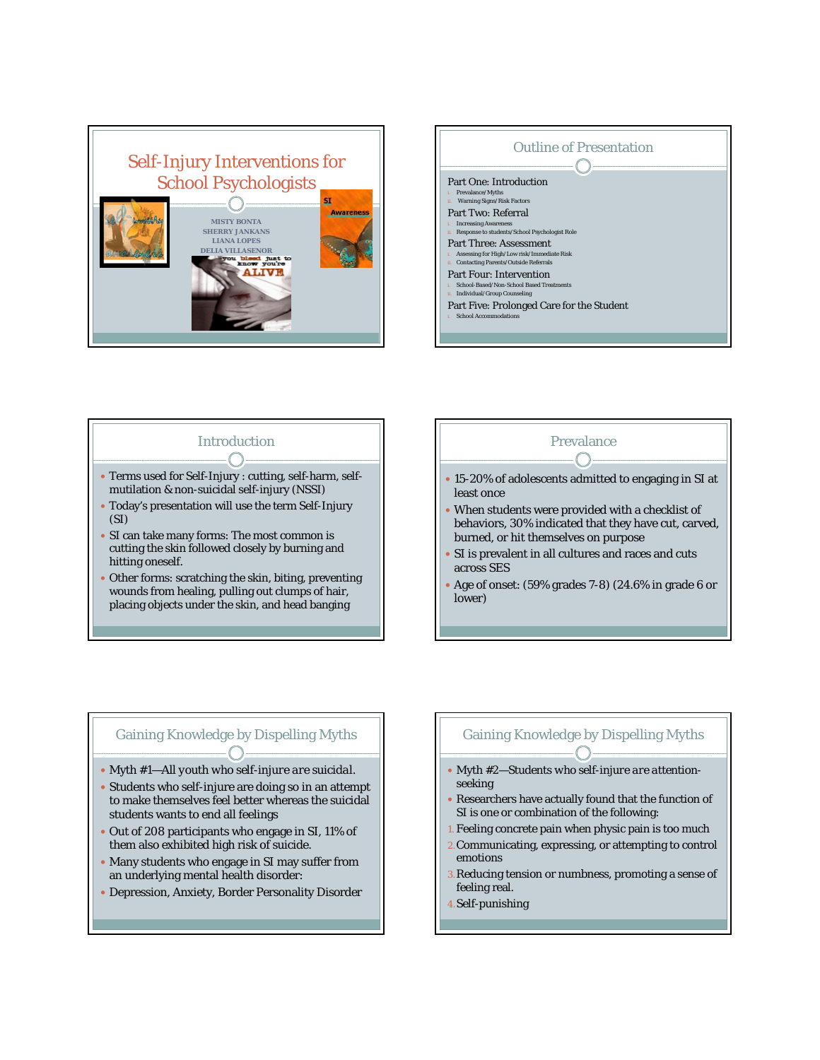



## Introduction

- y Terms used for Self-Injury : cutting, self-harm, selfmutilation & non-suicidal self-injury (NSSI)
- Today's presentation will use the term Self-Injury (SI)
- SI can take many forms: The most common is cutting the skin followed closely by burning and hitting oneself.
- Other forms: scratching the skin, biting, preventing wounds from healing, pulling out clumps of hair, placing objects under the skin, and head banging

# Prevalance

- 15-20% of adolescents admitted to engaging in SI at least once
- When students were provided with a checklist of behaviors, 30% indicated that they have cut, carved, burned, or hit themselves on purpose
- SI is prevalent in all cultures and races and cuts across SES
- y Age of onset: (59% grades 7-8) (24.6% in grade 6 or lower)

## Gaining Knowledge by Dispelling Myths

- y Myth #*1—All youth who self-injure are suicidal*.
- Students who self-injure are doing so in an attempt to make themselves feel better whereas the suicidal students wants to end all feelings
- Out of 208 participants who engage in SI, 11% of them also exhibited high risk of suicide.
- Many students who engage in SI may suffer from an underlying mental health disorder:
- Depression, Anxiety, Border Personality Disorder

### Gaining Knowledge by Dispelling Myths

- Myth #2-Students who self-injure are attention*seeking*
- Researchers have actually found that the function of SI is one or combination of the following:
- 1. Feeling concrete pain when physic pain is too much
- 2.Communicating, expressing, or attempting to control emotions
- 3.Reducing tension or numbness, promoting a sense of feeling real.
- 4.Self-punishing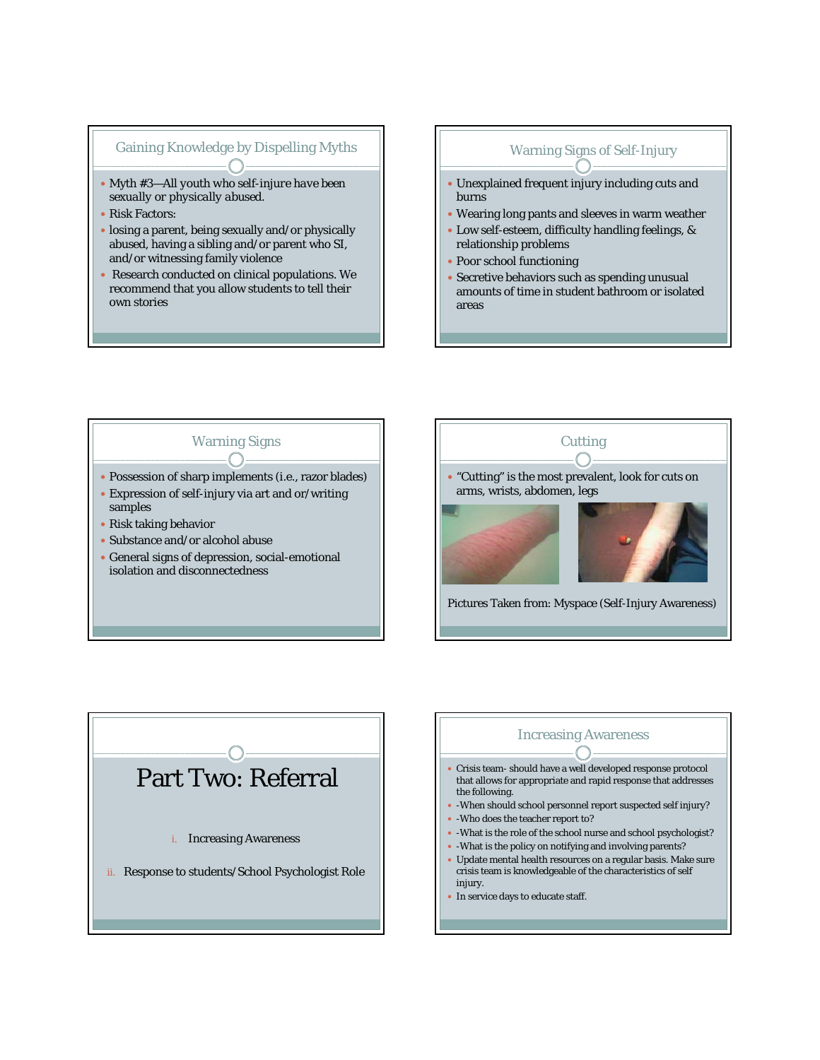### Gaining Knowledge by Dispelling Myths

- y Myth #*3—All youth who self-injure have been sexually or physically abused.*
- Risk Factors:
- losing a parent, being sexually and/or physically abused, having a sibling and/or parent who SI, and/or witnessing family violence
- Research conducted on clinical populations. We recommend that you allow students to tell their own stories

### Warning Signs of Self-Injury

- Unexplained frequent injury including cuts and burns
- Wearing long pants and sleeves in warm weather
- Low self-esteem, difficulty handling feelings, & relationship problems
- Poor school functioning
- Secretive behaviors such as spending unusual amounts of time in student bathroom or isolated areas

# Warning Signs

- Possession of sharp implements (i.e., razor blades)
- Expression of self-injury via art and or/writing samples
- Risk taking behavior
- Substance and/or alcohol abuse
- General signs of depression, social-emotional isolation and disconnectedness





### Increasing Awareness

- Crisis team- should have a well developed response protocol that allows for appropriate and rapid response that addresses the following.
- -When should school personnel report suspected self injury?
- -Who does the teacher report to?
- -What is the role of the school nurse and school psychologist?
- $\bullet\,$  -What is the policy on notifying and involving parents?
- Update mental health resources on a regular basis. Make sure crisis team is knowledgeable of the characteristics of self injury.
- In service days to educate staff.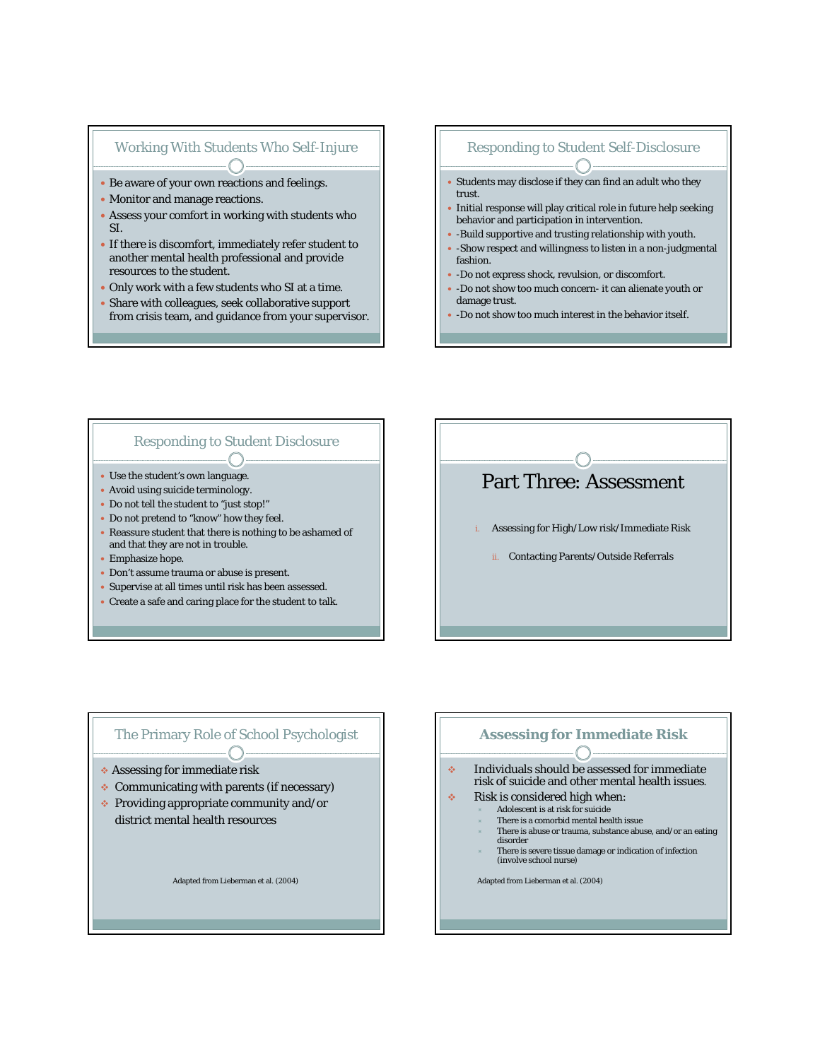### Working With Students Who Self-Injure

- Be aware of your own reactions and feelings.
- Monitor and manage reactions.
- Assess your comfort in working with students who SI.
- If there is discomfort, immediately refer student to another mental health professional and provide resources to the student.
- Only work with a few students who SI at a time.
- Share with colleagues, seek collaborative support from crisis team, and guidance from your supervisor.

### Responding to Student Self-Disclosure

- Students may disclose if they can find an adult who they trust.
- Initial response will play critical role in future help seeking behavior and participation in intervention.
- -Build supportive and trusting relationship with youth.
- -Show respect and willingness to listen in a non-judgmental fashion.
- -Do not express shock, revulsion, or discomfort.
- -Do not show too much concern- it can alienate youth or damage trust.
- -Do not show too much interest in the behavior itself.

### Responding to Student Disclosure

- Use the student's own language.
- Avoid using suicide terminology.
- Do not tell the student to "just stop!"
- Do not pretend to "know" how they feel.
- Reassure student that there is nothing to be ashamed of and that they are not in trouble.
- Emphasize hope.
- Don't assume trauma or abuse is present.
- Supervise at all times until risk has been assessed.
- Create a safe and caring place for the student to talk.

# Part Three: Assessment

- i. Assessing for High/Low risk/Immediate Risk
	- ii. Contacting Parents/Outside Referrals

### The Primary Role of School Psychologist

- Assessing for immediate risk
- ◆ Communicating with parents (if necessary)
- $\div$  Providing appropriate community and/or district mental health resources

Adapted from Lieberman et al. (2004)

### **Assessing for Immediate Risk**

**Individuals should be assessed for immediate** risk of suicide and other mental health issues.

- $\div$  Risk is considered high when:
	- Ù Adolescent is at risk for suicide There is a comorbid mental health issue
	- There is abuse or trauma, substance abuse, and/or an eating
	- disorder
	- There is severe tissue damage or indication of infection (involve school nurse)

Adapted from Lieberman et al. (2004)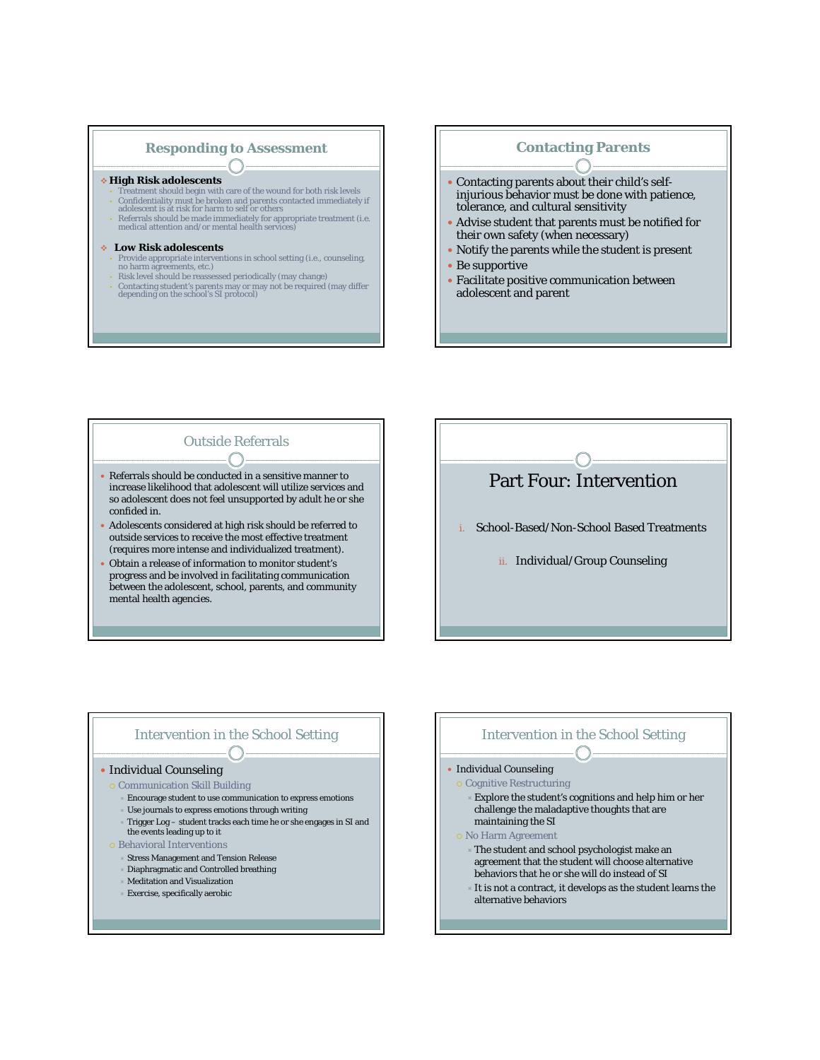### **Responding to Assessment**

#### **High Risk adolescents**

- **F** Treatment should begin with care of the wound for both risk levels • Confidentiality must be broken and parents contacted immediately if adolescent is at risk for harm to self or others
- Referrals should be made immediately for appropriate treatment (i.e. medical attention and/or mental health services)

#### **Low Risk adolescents**

- Provide appropriate interventions in school setting (i.e., counseling, no harm agreements, etc.) • Risk level should be reassessed periodically (may change)
- Contacting student's parents may or may not be required (may differ depending on the school's SI protocol)

### **Contacting Parents**

- Contacting parents about their child's selfinjurious behavior must be done with patience, tolerance, and cultural sensitivity
- Advise student that parents must be notified for their own safety (when necessary)
- Notify the parents while the student is present
- $\bullet$  Be supportive
- Facilitate positive communication between adolescent and parent

# Outside Referrals

- Referrals should be conducted in a sensitive manner to increase likelihood that adolescent will utilize services and so adolescent does not feel unsupported by adult he or she confided in.
- Adolescents considered at high risk should be referred to outside services to receive the most effective treatment (requires more intense and individualized treatment).
- Obtain a release of information to monitor student's progress and be involved in facilitating communication between the adolescent, school, parents, and community mental health agencies.

# Part Four: Intervention

- i. School-Based/Non-School Based Treatments
	- ii. Individual/Group Counseling

### Intervention in the School Setting

#### • Individual Counseling

- { Communication Skill Building
	- Encourage student to use communication to express emotions
	- Use journals to express emotions through writing
	- Trigger  $\mathop{\rm Log}\nolimits$  student tracks each time he or she engages in SI and the events leading up to it
- { Behavioral Interventions
	- Stress Management and Tension Release
	- Diaphragmatic and Controlled breathing
	- Ù Meditation and Visualization
	- Exercise, specifically aerobic

### Intervention in the School Setting  $\bigcap$

#### • Individual Counseling

- { Cognitive Restructuring
	- Explore the student's cognitions and help him or her challenge the maladaptive thoughts that are maintaining the SI
- { No Harm Agreement
	- The student and school psychologist make an agreement that the student will choose alternative behaviors that he or she will do instead of SI
	- It is not a contract, it develops as the student learns the alternative behaviors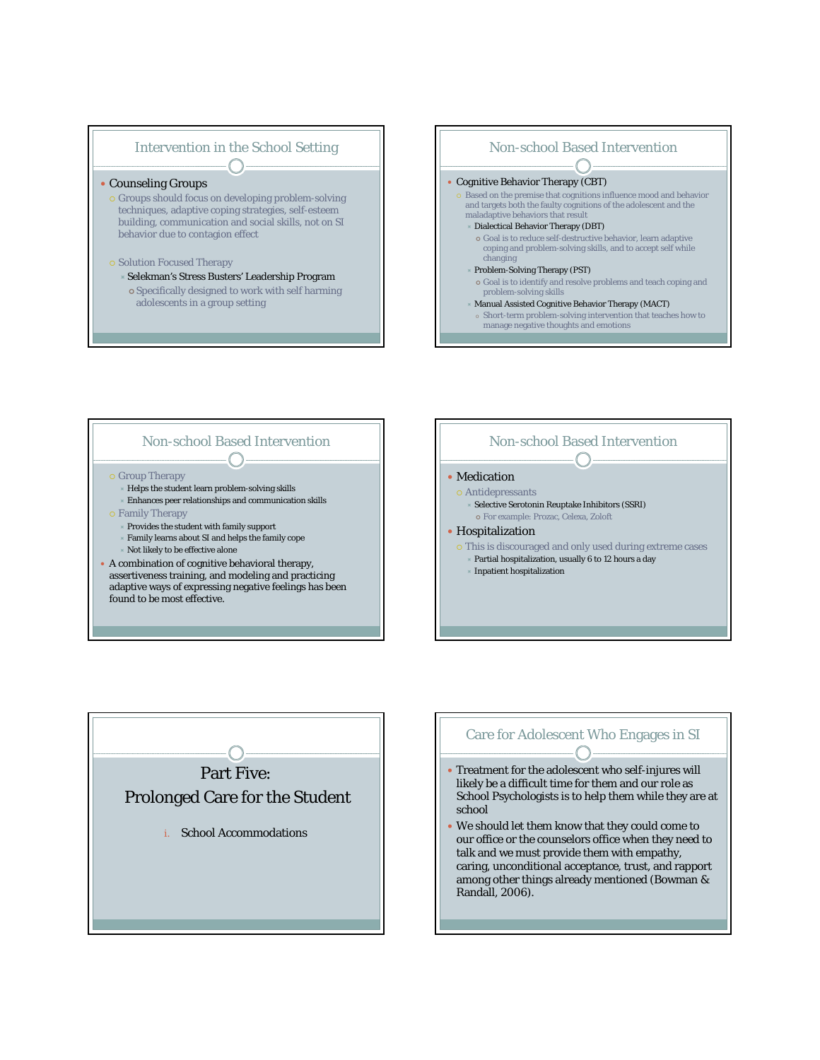### Intervention in the School Setting  $\bigcap$  .

#### • Counseling Groups

- { Groups should focus on developing problem-solving techniques, adaptive coping strategies, self-esteem building, communication and social skills, *not* on SI behavior due to contagion effect
- **o Solution Focused Therapy** 
	- ÙSelekman's Stress Busters' Leadership Program | Specifically designed to work with self harming adolescents in a group setting



### Non-school Based Intervention  $\begin{picture}(150,10) \put(0,0){\line(1,0){10}} \put(15,0){\line(1,0){10}} \put(15,0){\line(1,0){10}} \put(15,0){\line(1,0){10}} \put(15,0){\line(1,0){10}} \put(15,0){\line(1,0){10}} \put(15,0){\line(1,0){10}} \put(15,0){\line(1,0){10}} \put(15,0){\line(1,0){10}} \put(15,0){\line(1,0){10}} \put(15,0){\line(1,0){10}} \put(15,0){\line($

#### { Group Therapy

- Helps the student learn problem-solving skills Enhances peer relationships and communication skills
- { Family Therapy
- Provides the student with family support
	- Family learns about SI and helps the family cope
- Not likely to be effective alone
- A combination of cognitive behavioral therapy, assertiveness training, and modeling and practicing adaptive ways of expressing negative feelings has been found to be most effective.





### Care for Adolescent Who Engages in SI

- Treatment for the adolescent who self-injures will likely be a difficult time for them and our role as School Psychologists is to help them while they are at school
- We should let them know that they could come to our office or the counselors office when they need to talk and we must provide them with empathy, caring, unconditional acceptance, trust, and rapport among other things already mentioned (Bowman & Randall, 2006).